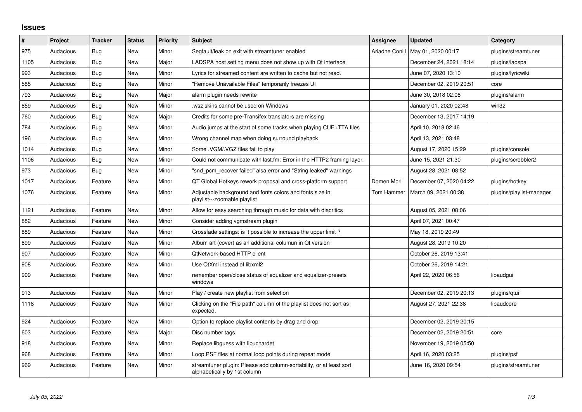## **Issues**

| $\#$ | Project   | <b>Tracker</b> | <b>Status</b> | <b>Priority</b> | <b>Subject</b>                                                                                      | Assignee       | <b>Updated</b>          | Category                 |
|------|-----------|----------------|---------------|-----------------|-----------------------------------------------------------------------------------------------------|----------------|-------------------------|--------------------------|
| 975  | Audacious | Bug            | <b>New</b>    | Minor           | Segfault/leak on exit with streamtuner enabled                                                      | Ariadne Conill | May 01, 2020 00:17      | plugins/streamtuner      |
| 1105 | Audacious | Bug            | <b>New</b>    | Major           | LADSPA host setting menu does not show up with Qt interface                                         |                | December 24, 2021 18:14 | plugins/ladspa           |
| 993  | Audacious | <b>Bug</b>     | New           | Minor           | Lyrics for streamed content are written to cache but not read.                                      |                | June 07, 2020 13:10     | plugins/lyricwiki        |
| 585  | Audacious | <b>Bug</b>     | <b>New</b>    | Minor           | "Remove Unavailable Files" temporarily freezes UI                                                   |                | December 02, 2019 20:51 | core                     |
| 793  | Audacious | Bug            | <b>New</b>    | Major           | alarm plugin needs rewrite                                                                          |                | June 30, 2018 02:08     | plugins/alarm            |
| 859  | Audacious | <b>Bug</b>     | <b>New</b>    | Minor           | wsz skins cannot be used on Windows                                                                 |                | January 01, 2020 02:48  | win32                    |
| 760  | Audacious | <b>Bug</b>     | <b>New</b>    | Major           | Credits for some pre-Transifex translators are missing                                              |                | December 13, 2017 14:19 |                          |
| 784  | Audacious | <b>Bug</b>     | New           | Minor           | Audio jumps at the start of some tracks when playing CUE+TTA files                                  |                | April 10, 2018 02:46    |                          |
| 196  | Audacious | <b>Bug</b>     | <b>New</b>    | Minor           | Wrong channel map when doing surround playback                                                      |                | April 13, 2021 03:48    |                          |
| 1014 | Audacious | <b>Bug</b>     | <b>New</b>    | Minor           | Some .VGM/.VGZ files fail to play                                                                   |                | August 17, 2020 15:29   | plugins/console          |
| 1106 | Audacious | Bug            | New           | Minor           | Could not communicate with last.fm: Error in the HTTP2 framing layer.                               |                | June 15, 2021 21:30     | plugins/scrobbler2       |
| 973  | Audacious | Bug            | <b>New</b>    | Minor           | "snd pcm recover failed" alsa error and "String leaked" warnings                                    |                | August 28, 2021 08:52   |                          |
| 1017 | Audacious | Feature        | <b>New</b>    | Minor           | QT Global Hotkeys rework proposal and cross-platform support                                        | Domen Mori     | December 07, 2020 04:22 | plugins/hotkey           |
| 1076 | Audacious | Feature        | <b>New</b>    | Minor           | Adjustable background and fonts colors and fonts size in<br>playlist---zoomable playlist            | Tom Hammer     | March 09, 2021 00:38    | plugins/playlist-manager |
| 1121 | Audacious | Feature        | <b>New</b>    | Minor           | Allow for easy searching through music for data with diacritics                                     |                | August 05, 2021 08:06   |                          |
| 882  | Audacious | Feature        | <b>New</b>    | Minor           | Consider adding vgmstream plugin                                                                    |                | April 07, 2021 00:47    |                          |
| 889  | Audacious | Feature        | New           | Minor           | Crossfade settings: is it possible to increase the upper limit?                                     |                | May 18, 2019 20:49      |                          |
| 899  | Audacious | Feature        | New           | Minor           | Album art (cover) as an additional columun in Qt version                                            |                | August 28, 2019 10:20   |                          |
| 907  | Audacious | Feature        | <b>New</b>    | Minor           | QtNetwork-based HTTP client                                                                         |                | October 26, 2019 13:41  |                          |
| 908  | Audacious | Feature        | New           | Minor           | Use QtXml instead of libxml2                                                                        |                | October 26, 2019 14:21  |                          |
| 909  | Audacious | Feature        | New           | Minor           | remember open/close status of equalizer and equalizer-presets<br>windows                            |                | April 22, 2020 06:56    | libaudgui                |
| 913  | Audacious | Feature        | <b>New</b>    | Minor           | Play / create new playlist from selection                                                           |                | December 02, 2019 20:13 | plugins/gtui             |
| 1118 | Audacious | Feature        | New           | Minor           | Clicking on the "File path" column of the playlist does not sort as<br>expected.                    |                | August 27, 2021 22:38   | libaudcore               |
| 924  | Audacious | Feature        | <b>New</b>    | Minor           | Option to replace playlist contents by drag and drop                                                |                | December 02, 2019 20:15 |                          |
| 603  | Audacious | Feature        | New           | Major           | Disc number tags                                                                                    |                | December 02, 2019 20:51 | core                     |
| 918  | Audacious | Feature        | New           | Minor           | Replace libguess with libuchardet                                                                   |                | November 19, 2019 05:50 |                          |
| 968  | Audacious | Feature        | New           | Minor           | Loop PSF files at normal loop points during repeat mode                                             |                | April 16, 2020 03:25    | plugins/psf              |
| 969  | Audacious | Feature        | New           | Minor           | streamtuner plugin: Please add column-sortability, or at least sort<br>alphabetically by 1st column |                | June 16, 2020 09:54     | plugins/streamtuner      |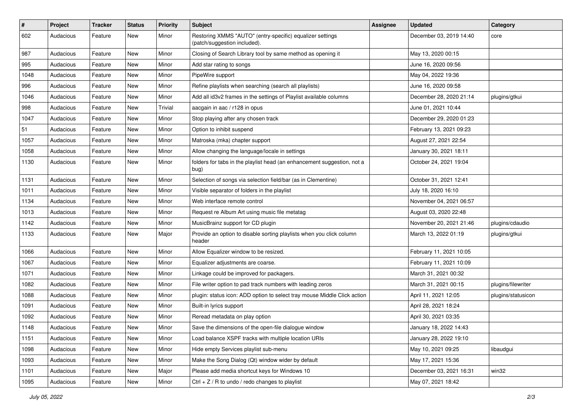| $\vert$ # | Project   | <b>Tracker</b> | <b>Status</b> | <b>Priority</b> | <b>Subject</b>                                                                            | <b>Assignee</b> | <b>Updated</b>          | Category           |
|-----------|-----------|----------------|---------------|-----------------|-------------------------------------------------------------------------------------------|-----------------|-------------------------|--------------------|
| 602       | Audacious | Feature        | New           | Minor           | Restoring XMMS "AUTO" (entry-specific) equalizer settings<br>(patch/suggestion included). |                 | December 03, 2019 14:40 | core               |
| 987       | Audacious | Feature        | New           | Minor           | Closing of Search Library tool by same method as opening it                               |                 | May 13, 2020 00:15      |                    |
| 995       | Audacious | Feature        | New           | Minor           | Add star rating to songs                                                                  |                 | June 16, 2020 09:56     |                    |
| 1048      | Audacious | Feature        | New           | Minor           | PipeWire support                                                                          |                 | May 04, 2022 19:36      |                    |
| 996       | Audacious | Feature        | New           | Minor           | Refine playlists when searching (search all playlists)                                    |                 | June 16, 2020 09:58     |                    |
| 1046      | Audacious | Feature        | New           | Minor           | Add all id3v2 frames in the settings of Playlist available columns                        |                 | December 28, 2020 21:14 | plugins/gtkui      |
| 998       | Audacious | Feature        | New           | Trivial         | aacgain in aac / r128 in opus                                                             |                 | June 01, 2021 10:44     |                    |
| 1047      | Audacious | Feature        | New           | Minor           | Stop playing after any chosen track                                                       |                 | December 29, 2020 01:23 |                    |
| 51        | Audacious | Feature        | <b>New</b>    | Minor           | Option to inhibit suspend                                                                 |                 | February 13, 2021 09:23 |                    |
| 1057      | Audacious | Feature        | New           | Minor           | Matroska (mka) chapter support                                                            |                 | August 27, 2021 22:54   |                    |
| 1058      | Audacious | Feature        | New           | Minor           | Allow changing the language/locale in settings                                            |                 | January 30, 2021 18:11  |                    |
| 1130      | Audacious | Feature        | New           | Minor           | folders for tabs in the playlist head (an enhancement suggestion, not a<br>bug)           |                 | October 24, 2021 19:04  |                    |
| 1131      | Audacious | Feature        | <b>New</b>    | Minor           | Selection of songs via selection field/bar (as in Clementine)                             |                 | October 31, 2021 12:41  |                    |
| 1011      | Audacious | Feature        | New           | Minor           | Visible separator of folders in the playlist                                              |                 | July 18, 2020 16:10     |                    |
| 1134      | Audacious | Feature        | New           | Minor           | Web interface remote control                                                              |                 | November 04, 2021 06:57 |                    |
| 1013      | Audacious | Feature        | New           | Minor           | Request re Album Art using music file metatag                                             |                 | August 03, 2020 22:48   |                    |
| 1142      | Audacious | Feature        | New           | Minor           | MusicBrainz support for CD plugin                                                         |                 | November 20, 2021 21:46 | plugins/cdaudio    |
| 1133      | Audacious | Feature        | New           | Major           | Provide an option to disable sorting playlists when you click column<br>header            |                 | March 13, 2022 01:19    | plugins/gtkui      |
| 1066      | Audacious | Feature        | New           | Minor           | Allow Equalizer window to be resized.                                                     |                 | February 11, 2021 10:05 |                    |
| 1067      | Audacious | Feature        | New           | Minor           | Equalizer adjustments are coarse.                                                         |                 | February 11, 2021 10:09 |                    |
| 1071      | Audacious | Feature        | New           | Minor           | Linkage could be improved for packagers.                                                  |                 | March 31, 2021 00:32    |                    |
| 1082      | Audacious | Feature        | New           | Minor           | File writer option to pad track numbers with leading zeros                                |                 | March 31, 2021 00:15    | plugins/filewriter |
| 1088      | Audacious | Feature        | New           | Minor           | plugin: status icon: ADD option to select tray mouse Middle Click action                  |                 | April 11, 2021 12:05    | plugins/statusicon |
| 1091      | Audacious | Feature        | New           | Minor           | Built-in lyrics support                                                                   |                 | April 28, 2021 18:24    |                    |
| 1092      | Audacious | Feature        | New           | Minor           | Reread metadata on play option                                                            |                 | April 30, 2021 03:35    |                    |
| 1148      | Audacious | Feature        | New           | Minor           | Save the dimensions of the open-file dialogue window                                      |                 | January 18, 2022 14:43  |                    |
| 1151      | Audacious | Feature        | New           | Minor           | Load balance XSPF tracks with multiple location URIs                                      |                 | January 28, 2022 19:10  |                    |
| 1098      | Audacious | Feature        | New           | Minor           | Hide empty Services playlist sub-menu                                                     |                 | May 10, 2021 09:25      | libaudgui          |
| 1093      | Audacious | Feature        | New           | Minor           | Make the Song Dialog (Qt) window wider by default                                         |                 | May 17, 2021 15:36      |                    |
| 1101      | Audacious | Feature        | New           | Major           | Please add media shortcut keys for Windows 10                                             |                 | December 03, 2021 16:31 | win32              |
| 1095      | Audacious | Feature        | New           | Minor           | Ctrl + $Z / R$ to undo / redo changes to playlist                                         |                 | May 07, 2021 18:42      |                    |